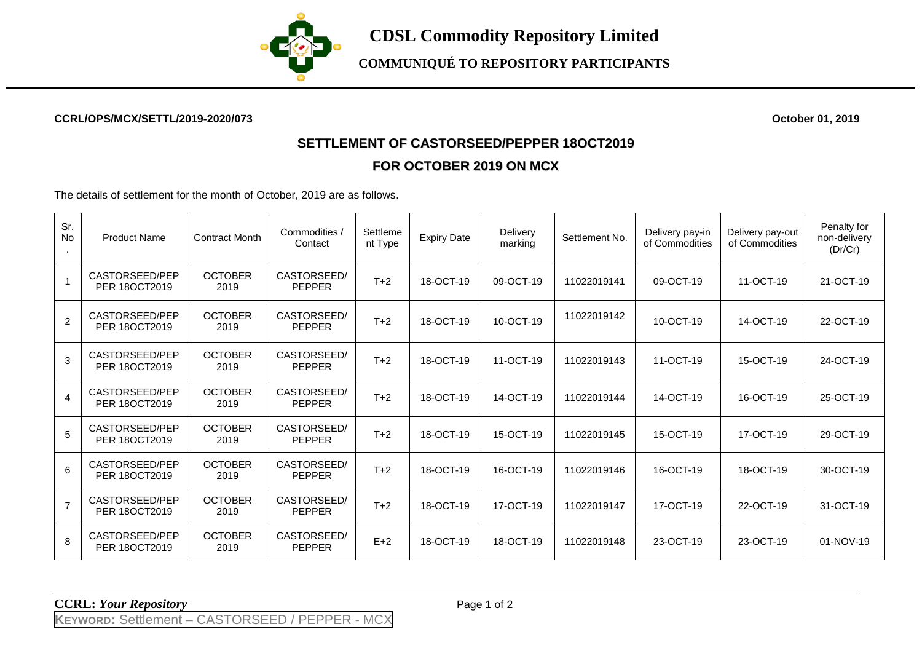

## **CCRL/OPS/MCX/SETTL/2019-2020/073 October 01, 2019**

## **SETTLEMENT OF CASTORSEED/PEPPER 18OCT2019 FOR OCTOBER 2019 ON MCX**

The details of settlement for the month of October, 2019 are as follows.

| Sr.<br>No      | <b>Product Name</b>             | <b>Contract Month</b>  | Commodities /<br>Contact     | Settleme<br>nt Type | <b>Expiry Date</b> | Delivery<br>marking | Settlement No. | Delivery pay-in<br>of Commodities | Delivery pay-out<br>of Commodities | Penalty for<br>non-delivery<br>(Dr/Cr) |
|----------------|---------------------------------|------------------------|------------------------------|---------------------|--------------------|---------------------|----------------|-----------------------------------|------------------------------------|----------------------------------------|
| $\mathbf{1}$   | CASTORSEED/PEP<br>PER 180CT2019 | <b>OCTOBER</b><br>2019 | CASTORSEED/<br><b>PEPPER</b> | $T+2$               | 18-OCT-19          | 09-OCT-19           | 11022019141    | 09-OCT-19                         | 11-OCT-19                          | 21-OCT-19                              |
| $\overline{2}$ | CASTORSEED/PEP<br>PER 180CT2019 | <b>OCTOBER</b><br>2019 | CASTORSEED/<br><b>PEPPER</b> | $T+2$               | 18-OCT-19          | 10-OCT-19           | 11022019142    | 10-OCT-19                         | 14-OCT-19                          | 22-OCT-19                              |
| 3              | CASTORSEED/PEP<br>PER 180CT2019 | <b>OCTOBER</b><br>2019 | CASTORSEED/<br><b>PEPPER</b> | $T+2$               | 18-OCT-19          | 11-OCT-19           | 11022019143    | 11-OCT-19                         | 15-OCT-19                          | 24-OCT-19                              |
| $\overline{4}$ | CASTORSEED/PEP<br>PER 180CT2019 | <b>OCTOBER</b><br>2019 | CASTORSEED/<br><b>PEPPER</b> | $T+2$               | 18-OCT-19          | 14-OCT-19           | 11022019144    | 14-OCT-19                         | 16-OCT-19                          | 25-OCT-19                              |
| 5              | CASTORSEED/PEP<br>PER 180CT2019 | <b>OCTOBER</b><br>2019 | CASTORSEED/<br><b>PEPPER</b> | $T+2$               | 18-OCT-19          | 15-OCT-19           | 11022019145    | 15-OCT-19                         | 17-OCT-19                          | 29-OCT-19                              |
| 6              | CASTORSEED/PEP<br>PER 180CT2019 | <b>OCTOBER</b><br>2019 | CASTORSEED/<br><b>PEPPER</b> | $T+2$               | 18-OCT-19          | 16-OCT-19           | 11022019146    | 16-OCT-19                         | 18-OCT-19                          | 30-OCT-19                              |
| $\overline{7}$ | CASTORSEED/PEP<br>PER 180CT2019 | <b>OCTOBER</b><br>2019 | CASTORSEED/<br><b>PEPPER</b> | $T+2$               | 18-OCT-19          | 17-OCT-19           | 11022019147    | 17-OCT-19                         | 22-OCT-19                          | 31-OCT-19                              |
| 8              | CASTORSEED/PEP<br>PER 180CT2019 | <b>OCTOBER</b><br>2019 | CASTORSEED/<br><b>PEPPER</b> | $E+2$               | 18-OCT-19          | 18-OCT-19           | 11022019148    | 23-OCT-19                         | 23-OCT-19                          | 01-NOV-19                              |

**CCRL:** *Your Repository* Page 1 of 2

**KEYWORD:** Settlement – CASTORSEED / PEPPER - MCX